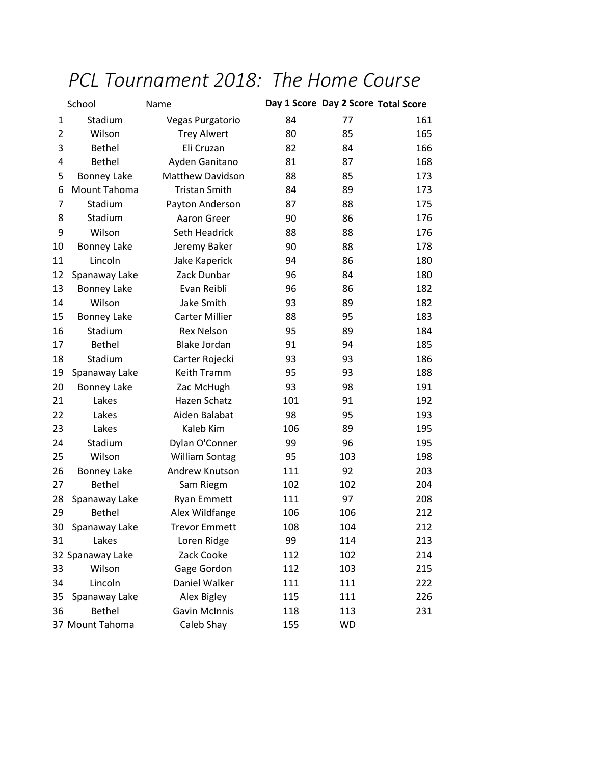## *PCL Tournament 2018: The Home Course*

| School         |                    | Name                    |     | Day 1 Score Day 2 Score Total Score |     |
|----------------|--------------------|-------------------------|-----|-------------------------------------|-----|
| 1              | Stadium            | <b>Vegas Purgatorio</b> | 84  | 77                                  | 161 |
| $\overline{2}$ | Wilson             | <b>Trey Alwert</b>      | 80  | 85                                  | 165 |
| 3              | Bethel             | Eli Cruzan              | 82  | 84                                  | 166 |
| 4              | <b>Bethel</b>      | Ayden Ganitano          | 81  | 87                                  | 168 |
| 5              | <b>Bonney Lake</b> | Matthew Davidson        | 88  | 85                                  | 173 |
| 6              | Mount Tahoma       | <b>Tristan Smith</b>    | 84  | 89                                  | 173 |
| $\overline{7}$ | Stadium            | Payton Anderson         | 87  | 88                                  | 175 |
| 8              | Stadium            | Aaron Greer             | 90  | 86                                  | 176 |
| 9              | Wilson             | <b>Seth Headrick</b>    | 88  | 88                                  | 176 |
| 10             | <b>Bonney Lake</b> | Jeremy Baker            | 90  | 88                                  | 178 |
| 11             | Lincoln            | Jake Kaperick           | 94  | 86                                  | 180 |
| 12             | Spanaway Lake      | Zack Dunbar             | 96  | 84                                  | 180 |
| 13             | <b>Bonney Lake</b> | Evan Reibli             | 96  | 86                                  | 182 |
| 14             | Wilson             | Jake Smith              | 93  | 89                                  | 182 |
| 15             | <b>Bonney Lake</b> | <b>Carter Millier</b>   | 88  | 95                                  | 183 |
| 16             | Stadium            | <b>Rex Nelson</b>       | 95  | 89                                  | 184 |
| 17             | <b>Bethel</b>      | <b>Blake Jordan</b>     | 91  | 94                                  | 185 |
| 18             | Stadium            | Carter Rojecki          | 93  | 93                                  | 186 |
| 19             | Spanaway Lake      | Keith Tramm             | 95  | 93                                  | 188 |
| 20             | <b>Bonney Lake</b> | Zac McHugh              | 93  | 98                                  | 191 |
| 21             | Lakes              | Hazen Schatz            | 101 | 91                                  | 192 |
| 22             | Lakes              | Aiden Balabat           | 98  | 95                                  | 193 |
| 23             | Lakes              | Kaleb Kim               | 106 | 89                                  | 195 |
| 24             | Stadium            | Dylan O'Conner          | 99  | 96                                  | 195 |
| 25             | Wilson             | <b>William Sontag</b>   | 95  | 103                                 | 198 |
| 26             | <b>Bonney Lake</b> | Andrew Knutson          | 111 | 92                                  | 203 |
| 27             | <b>Bethel</b>      | Sam Riegm               | 102 | 102                                 | 204 |
| 28             | Spanaway Lake      | <b>Ryan Emmett</b>      | 111 | 97                                  | 208 |
| 29             | <b>Bethel</b>      | Alex Wildfange          | 106 | 106                                 | 212 |
| 30             | Spanaway Lake      | <b>Trevor Emmett</b>    | 108 | 104                                 | 212 |
| 31             | Lakes              | Loren Ridge             | 99  | 114                                 | 213 |
|                | 32 Spanaway Lake   | Zack Cooke              | 112 | 102                                 | 214 |
| 33             | Wilson             | Gage Gordon             | 112 | 103                                 | 215 |
| 34             | Lincoln            | Daniel Walker           | 111 | 111                                 | 222 |
| 35             | Spanaway Lake      | Alex Bigley             | 115 | 111                                 | 226 |
| 36             | <b>Bethel</b>      | <b>Gavin McInnis</b>    | 118 | 113                                 | 231 |
|                | 37 Mount Tahoma    | Caleb Shay              | 155 | <b>WD</b>                           |     |